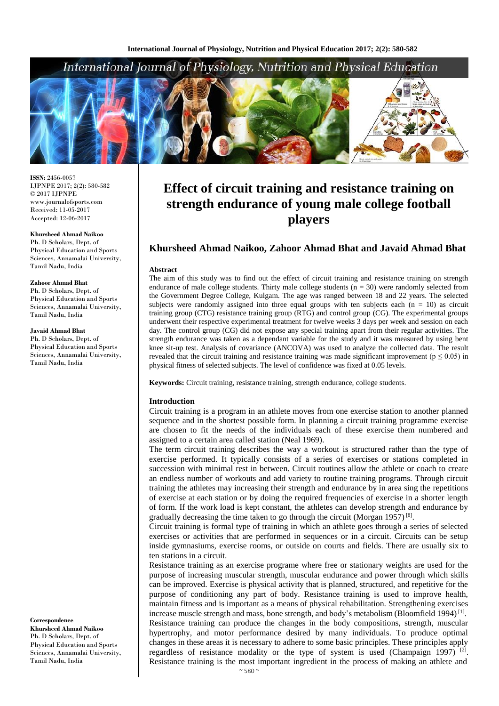# International Journal of Physiology, Nutrition and Physical Education



**ISSN:** 2456-0057 IJPNPE 2017; 2(2): 580-582  $\odot$  2017 IJPNPE www.journalofsports.com Received: 11-05-2017 Accepted: 12-06-2017

**Khursheed Ahmad Naikoo** Ph. D Scholars, Dept. of Physical Education and Sports Sciences, Annamalai University, Tamil Nadu, India

#### **Zahoor Ahmad Bhat**

Ph. D Scholars, Dept. of Physical Education and Sports Sciences, Annamalai University, Tamil Nadu, India

**Javaid Ahmad Bhat**

Ph. D Scholars, Dept. of Physical Education and Sports Sciences, Annamalai University, Tamil Nadu, India

**Correspondence Khursheed Ahmad Naikoo** Ph. D Scholars, Dept. of Physical Education and Sports Sciences, Annamalai University, Tamil Nadu, India

# **Effect of circuit training and resistance training on strength endurance of young male college football players**

# **Khursheed Ahmad Naikoo, Zahoor Ahmad Bhat and Javaid Ahmad Bhat**

#### **Abstract**

The aim of this study was to find out the effect of circuit training and resistance training on strength endurance of male college students. Thirty male college students  $(n = 30)$  were randomly selected from the Government Degree College, Kulgam. The age was ranged between 18 and 22 years. The selected subjects were randomly assigned into three equal groups with ten subjects each  $(n = 10)$  as circuit training group (CTG) resistance training group (RTG) and control group (CG). The experimental groups underwent their respective experimental treatment for twelve weeks 3 days per week and session on each day. The control group (CG) did not expose any special training apart from their regular activities. The strength endurance was taken as a dependant variable for the study and it was measured by using bent knee sit-up test. Analysis of covariance (ANCOVA) was used to analyze the collected data. The result revealed that the circuit training and resistance training was made significant improvement ( $p \le 0.05$ ) in physical fitness of selected subjects. The level of confidence was fixed at 0.05 levels.

**Keywords:** Circuit training, resistance training, strength endurance, college students.

#### **Introduction**

Circuit training is a program in an athlete moves from one exercise station to another planned sequence and in the shortest possible form. In planning a circuit training programme exercise are chosen to fit the needs of the individuals each of these exercise them numbered and assigned to a certain area called station (Neal 1969).

The term circuit training describes the way a workout is structured rather than the type of exercise performed. It typically consists of a series of exercises or stations completed in succession with minimal rest in between. Circuit routines allow the athlete or coach to create an endless number of workouts and add variety to routine training programs. Through circuit training the athletes may increasing their strength and endurance by in area sing the repetitions of exercise at each station or by doing the required frequencies of exercise in a shorter length of form. If the work load is kept constant, the athletes can develop strength and endurance by gradually decreasing the time taken to go through the circuit (Morgan 1957)<sup>[8]</sup>.

Circuit training is formal type of training in which an athlete goes through a series of selected exercises or activities that are performed in sequences or in a circuit. Circuits can be setup inside gymnasiums, exercise rooms, or outside on courts and fields. There are usually six to ten stations in a circuit.

Resistance training as an exercise programe where free or stationary weights are used for the purpose of increasing muscular strength, muscular endurance and power through which skills can be improved. Exercise is physical activity that is planned, structured, and repetitive for the purpose of conditioning any part of body. Resistance training is used to improve health, maintain fitness and is important as a means of physical rehabilitation. Strengthening exercises increase muscle strength and mass, bone strength, and body's metabolism (Bloomfield 1994) $\overline{1}$ <sup>[1]</sup>. Resistance training can produce the changes in the body compositions, strength, muscular hypertrophy, and motor performance desired by many individuals. To produce optimal changes in these areas it is necessary to adhere to some basic principles. These principles apply regardless of resistance modality or the type of system is used (Champaign 1997)<sup>[2]</sup>. Resistance training is the most important ingredient in the process of making an athlete and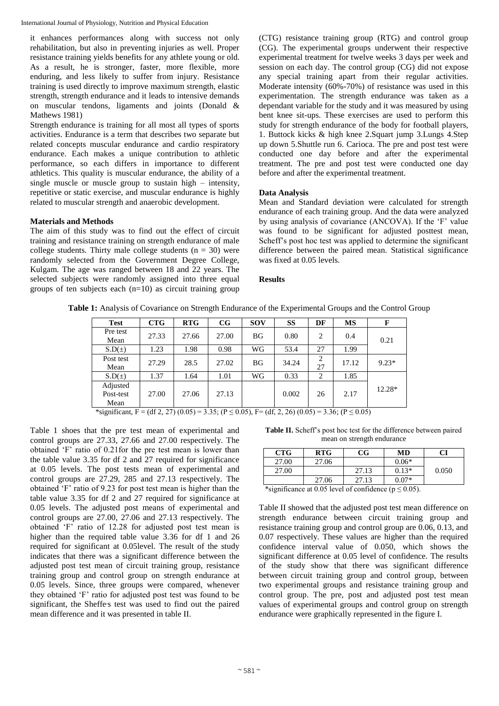International Journal of Physiology, Nutrition and Physical Education

it enhances performances along with success not only rehabilitation, but also in preventing injuries as well. Proper resistance training yields benefits for any athlete young or old. As a result, he is stronger, faster, more flexible, more enduring, and less likely to suffer from injury. Resistance training is used directly to improve maximum strength, elastic strength, strength endurance and it leads to intensive demands on muscular tendons, ligaments and joints (Donald & Mathews 1981)

Strength endurance is training for all most all types of sports activities. Endurance is a term that describes two separate but related concepts muscular endurance and cardio respiratory endurance. Each makes a unique contribution to athletic performance, so each differs in importance to different athletics. This quality is muscular endurance, the ability of a single muscle or muscle group to sustain high – intensity, repetitive or static exercise, and muscular endurance is highly related to muscular strength and anaerobic development.

### **Materials and Methods**

The aim of this study was to find out the effect of circuit training and resistance training on strength endurance of male college students. Thirty male college students  $(n = 30)$  were randomly selected from the Government Degree College, Kulgam. The age was ranged between 18 and 22 years. The selected subjects were randomly assigned into three equal groups of ten subjects each (n=10) as circuit training group

(CTG) resistance training group (RTG) and control group (CG). The experimental groups underwent their respective experimental treatment for twelve weeks 3 days per week and session on each day. The control group (CG) did not expose any special training apart from their regular activities. Moderate intensity (60%-70%) of resistance was used in this experimentation. The strength endurance was taken as a dependant variable for the study and it was measured by using bent knee sit-ups. These exercises are used to perform this study for strength endurance of the body for football players, 1. Buttock kicks & high knee 2.Squart jump 3.Lungs 4.Step up down 5.Shuttle run 6. Carioca. The pre and post test were conducted one day before and after the experimental treatment. The pre and post test were conducted one day before and after the experimental treatment.

## **Data Analysis**

Mean and Standard deviation were calculated for strength endurance of each training group. And the data were analyzed by using analysis of covariance (ANCOVA). If the 'F' value was found to be significant for adjusted posttest mean, Scheff's post hoc test was applied to determine the significant difference between the paired mean. Statistical significance was fixed at 0.05 levels.

### **Results**

| Table 1: Analysis of Covariance on Strength Endurance of the Experimental Groups and the Control Group |  |  |
|--------------------------------------------------------------------------------------------------------|--|--|
|--------------------------------------------------------------------------------------------------------|--|--|

| <b>Test</b>                   | <b>CTG</b> | <b>RTG</b> | CG    | <b>SOV</b> | <b>SS</b> | DF      | <b>MS</b> | F       |
|-------------------------------|------------|------------|-------|------------|-----------|---------|-----------|---------|
| Pre test<br>Mean              | 27.33      | 27.66      | 27.00 | <b>BG</b>  | 0.80      | 2       | 0.4       | 0.21    |
| $S.D(\pm)$                    | 1.23       | 1.98       | 0.98  | WG         | 53.4      | 27      | 1.99      |         |
| Post test<br>Mean             | 27.29      | 28.5       | 27.02 | <b>BG</b>  | 34.24     | 2<br>27 | 17.12     | $9.23*$ |
| $S.D(\pm)$                    | 1.37       | 1.64       | 1.01  | WG         | 0.33      | 2       | 1.85      |         |
| Adjusted<br>Post-test<br>Mean | 27.00      | 27.06      | 27.13 |            | 0.002     | 26      | 2.17      | 12.28*  |

\*significant, F = (df 2, 27) (0.05) = 3.35; (P ≤ 0.05), F = (df, 2, 26) (0.05) = 3.36; (P ≤ 0.05)

Table 1 shoes that the pre test mean of experimental and control groups are 27.33, 27.66 and 27.00 respectively. The obtained 'F' ratio of 0.21for the pre test mean is lower than the table value 3.35 for df 2 and 27 required for significance at 0.05 levels. The post tests mean of experimental and control groups are 27.29, 285 and 27.13 respectively. The obtained 'F' ratio of 9.23 for post test mean is higher than the table value 3.35 for df 2 and 27 required for significance at 0.05 levels. The adjusted post means of experimental and control groups are 27.00, 27.06 and 27.13 respectively. The obtained 'F' ratio of 12.28 for adjusted post test mean is higher than the required table value 3.36 for df 1 and 26 required for significant at 0.05level. The result of the study indicates that there was a significant difference between the adjusted post test mean of circuit training group, resistance training group and control group on strength endurance at 0.05 levels. Since, three groups were compared, whenever they obtained 'F' ratio for adjusted post test was found to be significant, the Sheffe's test was used to find out the paired mean difference and it was presented in table II.

**Table II.** Scheff's post hoc test for the difference between paired mean on strength endurance

| <b>CTG</b> | <b>RTG</b> | CG    | MD      | CI    |
|------------|------------|-------|---------|-------|
| 27.00      | 27.06      |       | $0.06*$ |       |
| 27.00      |            | 27.13 | $0.13*$ | 0.050 |
|            | 27.06      | 27.13 | $0.07*$ |       |

\*significance at 0.05 level of confidence ( $p \le 0.05$ ).

Table II showed that the adjusted post test mean difference on strength endurance between circuit training group and resistance training group and control group are 0.06, 0.13, and 0.07 respectively. These values are higher than the required confidence interval value of 0.050, which shows the significant difference at 0.05 level of confidence. The results of the study show that there was significant difference between circuit training group and control group, between two experimental groups and resistance training group and control group. The pre, post and adjusted post test mean values of experimental groups and control group on strength endurance were graphically represented in the figure I.